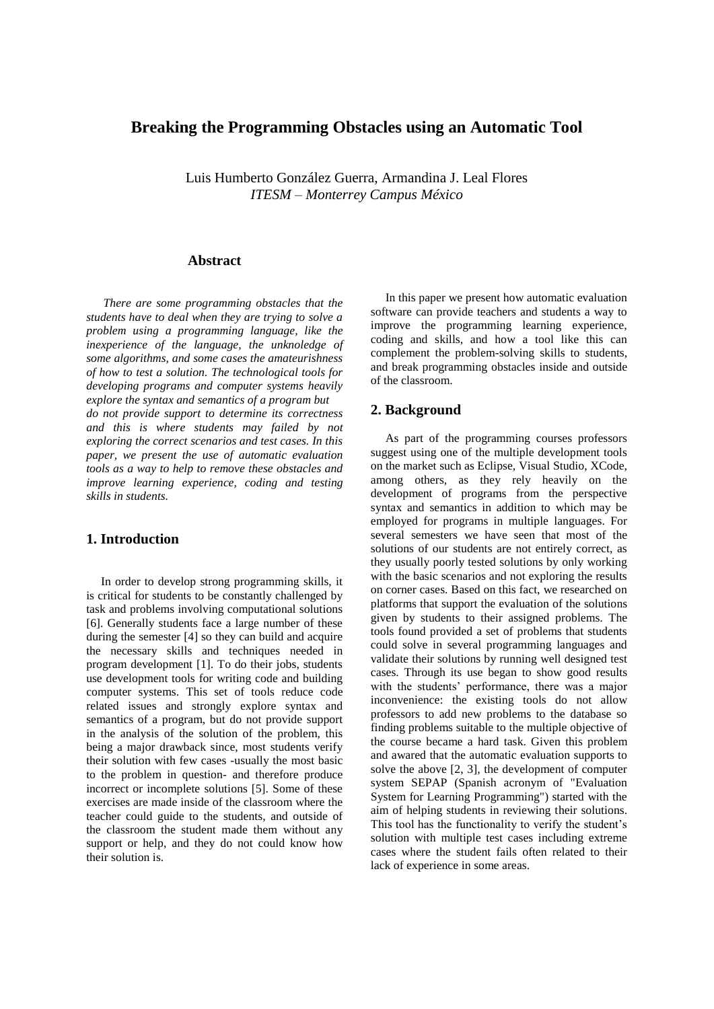## **Breaking the Programming Obstacles using an Automatic Tool**

Luis Humberto González Guerra, Armandina J. Leal Flores *ITESM – Monterrey Campus México* 

## **Abstract**

*There are some programming obstacles that the students have to deal when they are trying to solve a problem using a programming language, like the inexperience of the language, the unknoledge of some algorithms, and some cases the amateurishness of how to test a solution. The technological tools for developing programs and computer systems heavily explore the syntax and semantics of a program but do not provide support to determine its correctness and this is where students may failed by not exploring the correct scenarios and test cases. In this paper, we present the use of automatic evaluation tools as a way to help to remove these obstacles and improve learning experience, coding and testing skills in students.* 

## **1. Introduction**

In order to develop strong programming skills, it is critical for students to be constantly challenged by task and problems involving computational solutions [6]. Generally students face a large number of these during the semester [4] so they can build and acquire the necessary skills and techniques needed in program development [1]. To do their jobs, students use development tools for writing code and building computer systems. This set of tools reduce code related issues and strongly explore syntax and semantics of a program, but do not provide support in the analysis of the solution of the problem, this being a major drawback since, most students verify their solution with few cases -usually the most basic to the problem in question- and therefore produce incorrect or incomplete solutions [5]. Some of these exercises are made inside of the classroom where the teacher could guide to the students, and outside of the classroom the student made them without any support or help, and they do not could know how their solution is.

In this paper we present how automatic evaluation software can provide teachers and students a way to improve the programming learning experience, coding and skills, and how a tool like this can complement the problem-solving skills to students, and break programming obstacles inside and outside of the classroom.

## **2. Background**

As part of the programming courses professors suggest using one of the multiple development tools on the market such as Eclipse, Visual Studio, XCode, among others, as they rely heavily on the development of programs from the perspective syntax and semantics in addition to which may be employed for programs in multiple languages. For several semesters we have seen that most of the solutions of our students are not entirely correct, as they usually poorly tested solutions by only working with the basic scenarios and not exploring the results on corner cases. Based on this fact, we researched on platforms that support the evaluation of the solutions given by students to their assigned problems. The tools found provided a set of problems that students could solve in several programming languages and validate their solutions by running well designed test cases. Through its use began to show good results with the students' performance, there was a major inconvenience: the existing tools do not allow professors to add new problems to the database so finding problems suitable to the multiple objective of the course became a hard task. Given this problem and awared that the automatic evaluation supports to solve the above [2, 3], the development of computer system SEPAP (Spanish acronym of "Evaluation System for Learning Programming") started with the aim of helping students in reviewing their solutions. This tool has the functionality to verify the student's solution with multiple test cases including extreme cases where the student fails often related to their lack of experience in some areas.